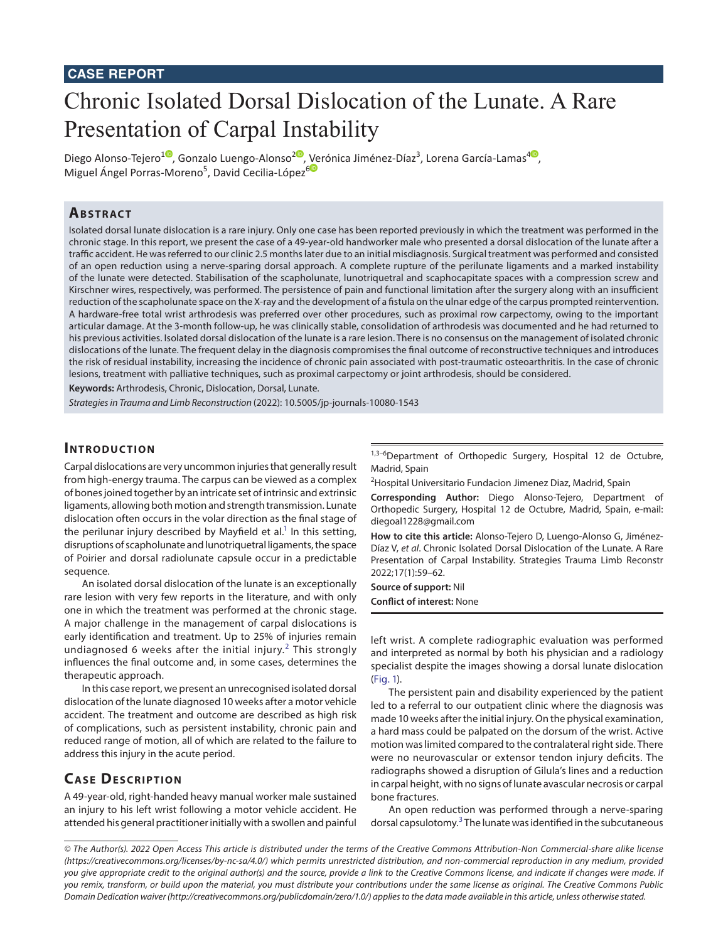# **CASE REPORT**

# Chronic Isolated Dorsal Dislocation of the Lunate. A Rare Presentation of Carpal Instability

Diego Alonso-Tejero<sup>[1](https://orcid.org/0000-0002-6071-5062
)0</sup>, Gonzalo Luengo-Alonso<sup>[2](https://orcid.org/0000-0003-3516-5043)0</sup>, [Ve](https://orcid.org/0000-0002-3455-9561)rónica Jiménez-Díaz<sup>3</sup>[,](https://orcid.org/0000-0001-8370-8327) Lorena García-Lamas<sup>40</sup>, Miguel Ángel Porras-Moreno<sup>5</sup>, David Cecilia-López<sup>6</sup>

# **ABSTRACT**

Isolated dorsal lunate dislocation is a rare injury. Only one case has been reported previously in which the treatment was performed in the chronic stage. In this report, we present the case of a 49-year-old handworker male who presented a dorsal dislocation of the lunate after a traffic accident. He was referred to our clinic 2.5 months later due to an initial misdiagnosis. Surgical treatment was performed and consisted of an open reduction using a nerve-sparing dorsal approach. A complete rupture of the perilunate ligaments and a marked instability of the lunate were detected. Stabilisation of the scapholunate, lunotriquetral and scaphocapitate spaces with a compression screw and Kirschner wires, respectively, was performed. The persistence of pain and functional limitation after the surgery along with an insufficient reduction of the scapholunate space on the X-ray and the development of a fistula on the ulnar edge of the carpus prompted reintervention. A hardware-free total wrist arthrodesis was preferred over other procedures, such as proximal row carpectomy, owing to the important articular damage. At the 3-month follow-up, he was clinically stable, consolidation of arthrodesis was documented and he had returned to his previous activities. Isolated dorsal dislocation of the lunate is a rare lesion. There is no consensus on the management of isolated chronic dislocations of the lunate. The frequent delay in the diagnosis compromises the final outcome of reconstructive techniques and introduces the risk of residual instability, increasing the incidence of chronic pain associated with post-traumatic osteoarthritis. In the case of chronic lesions, treatment with palliative techniques, such as proximal carpectomy or joint arthrodesis, should be considered.

**Keywords:** Arthrodesis, Chronic, Dislocation, Dorsal, Lunate.

*Strategies in Trauma and Limb Reconstruction* (2022): 10.5005/jp-journals-10080-1543

# **INTRODUCTION**

Carpal dislocations are very uncommon injuries that generally result from high-energy trauma. The carpus can be viewed as a complex of bones joined together by an intricate set of intrinsic and extrinsic ligaments, allowing both motion and strength transmission. Lunate dislocation often occurs in the volar direction as the final stage of the perilunar injury described by Mayfield et al.<sup>[1](#page-3-0)</sup> In this setting, disruptions of scapholunate and lunotriquetral ligaments, the space of Poirier and dorsal radiolunate capsule occur in a predictable sequence.

An isolated dorsal dislocation of the lunate is an exceptionally rare lesion with very few reports in the literature, and with only one in which the treatment was performed at the chronic stage. A major challenge in the management of carpal dislocations is early identification and treatment. Up to 25% of injuries remain undiagnosed 6 weeks after the initial injury.<sup>[2](#page-3-1)</sup> This strongly influences the final outcome and, in some cases, determines the therapeutic approach.

In this case report, we present an unrecognised isolated dorsal dislocation of the lunate diagnosed 10 weeks after a motor vehicle accident. The treatment and outcome are described as high risk of complications, such as persistent instability, chronic pain and reduced range of motion, all of which are related to the failure to address this injury in the acute period.

# **CASE DESCRIPTION**

A 49-year-old, right-handed heavy manual worker male sustained an injury to his left wrist following a motor vehicle accident. He attended his general practitioner initially with a swollen and painful 1,3-6Department of Orthopedic Surgery, Hospital 12 de Octubre, Madrid, Spain

<sup>2</sup>Hospital Universitario Fundacion Jimenez Diaz, Madrid, Spain

**Corresponding Author:** Diego Alonso-Tejero, Department of Orthopedic Surgery, Hospital 12 de Octubre, Madrid, Spain, e-mail: diegoal1228@gmail.com

**How to cite this article:** Alonso-Tejero D, Luengo-Alonso G, Jiménez-Díaz V, *et al*. Chronic Isolated Dorsal Dislocation of the Lunate. A Rare Presentation of Carpal Instability. Strategies Trauma Limb Reconstr 2022;17(1):59–62.

**Source of support:** Nil **Conflict of interest:** None

left wrist. A complete radiographic evaluation was performed and interpreted as normal by both his physician and a radiology specialist despite the images showing a dorsal lunate dislocation [\(Fig. 1\)](#page-1-0).

The persistent pain and disability experienced by the patient led to a referral to our outpatient clinic where the diagnosis was made 10 weeks after the initial injury. On the physical examination, a hard mass could be palpated on the dorsum of the wrist. Active motion was limited compared to the contralateral right side. There were no neurovascular or extensor tendon injury deficits. The radiographs showed a disruption of Gilula's lines and a reduction in carpal height, with no signs of lunate avascular necrosis or carpal bone fractures.

An open reduction was performed through a nerve-sparing dorsal capsulotomy.<sup>[3](#page-3-2)</sup> The lunate was identified in the subcutaneous

*<sup>©</sup> The Author(s). 2022 Open Access This article is distributed under the terms of the Creative Commons Attribution-Non Commercial-share alike license [\(https://creativecommons.org/licenses/by-nc-sa/4.0/](https://creativecommons.org/licenses/by-nc-sa/4.0/)) which permits unrestricted distribution, and non-commercial reproduction in any medium, provided you give appropriate credit to the original author(s) and the source, provide a link to the Creative Commons license, and indicate if changes were made. If you remix, transform, or build upon the material, you must distribute your contributions under the same license as original. The Creative Commons Public Domain Dedication waiver [\(http://creativecommons.org/publicdomain/zero/1.0/](http://creativecommons.org/publicdomain/zero/1.0/)) applies to the data made available in this article, unless otherwise stated.*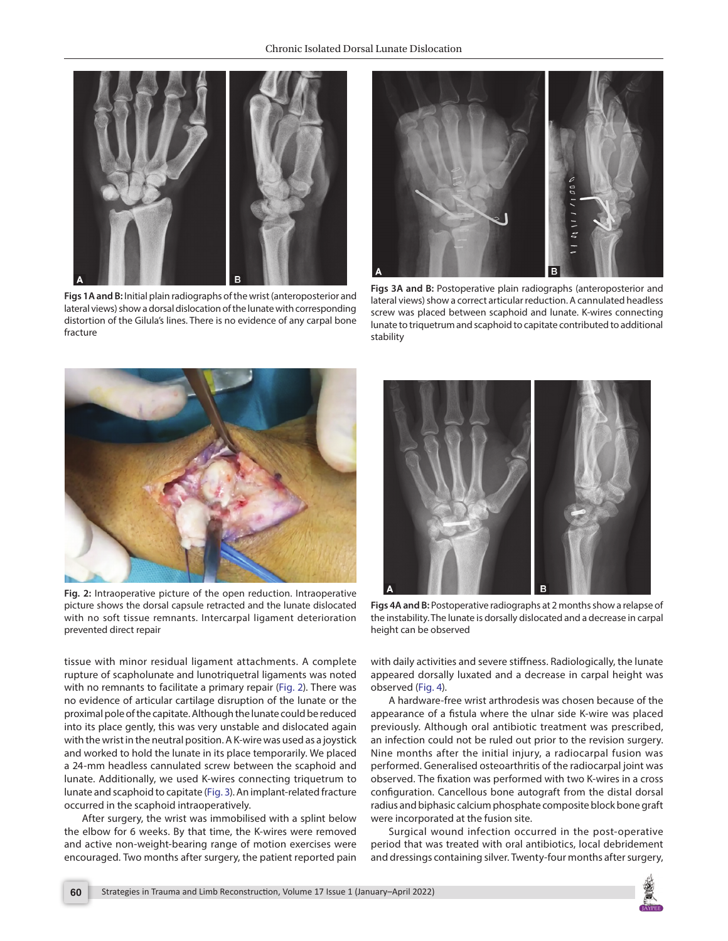

**Figs 1A and B:** Initial plain radiographs of the wrist (anteroposterior and lateral views) show a dorsal dislocation of the lunate with corresponding distortion of the Gilula's lines. There is no evidence of any carpal bone fracture



<span id="page-1-2"></span>**Figs 3A and B:** Postoperative plain radiographs (anteroposterior and lateral views) show a correct articular reduction. A cannulated headless screw was placed between scaphoid and lunate. K-wires connecting lunate to triquetrum and scaphoid to capitate contributed to additional stability

<span id="page-1-0"></span>

**Fig. 2:** Intraoperative picture of the open reduction. Intraoperative picture shows the dorsal capsule retracted and the lunate dislocated with no soft tissue remnants. Intercarpal ligament deterioration prevented direct repair



**Figs 4A and B:** Postoperative radiographs at 2 months show a relapse of the instability. The lunate is dorsally dislocated and a decrease in carpal height can be observed

<span id="page-1-1"></span>tissue with minor residual ligament attachments. A complete rupture of scapholunate and lunotriquetral ligaments was noted with no remnants to facilitate a primary repair ([Fig. 2\)](#page-1-1). There was no evidence of articular cartilage disruption of the lunate or the proximal pole of the capitate. Although the lunate could be reduced into its place gently, this was very unstable and dislocated again with the wrist in the neutral position. A K-wire was used as a joystick and worked to hold the lunate in its place temporarily. We placed a 24-mm headless cannulated screw between the scaphoid and lunate. Additionally, we used K-wires connecting triquetrum to lunate and scaphoid to capitate [\(Fig. 3](#page-1-2)). An implant-related fracture occurred in the scaphoid intraoperatively.

After surgery, the wrist was immobilised with a splint below the elbow for 6 weeks. By that time, the K-wires were removed and active non-weight-bearing range of motion exercises were encouraged. Two months after surgery, the patient reported pain

<span id="page-1-3"></span>with daily activities and severe stiffness. Radiologically, the lunate appeared dorsally luxated and a decrease in carpal height was observed [\(Fig. 4\)](#page-1-3).

A hardware-free wrist arthrodesis was chosen because of the appearance of a fistula where the ulnar side K-wire was placed previously. Although oral antibiotic treatment was prescribed, an infection could not be ruled out prior to the revision surgery. Nine months after the initial injury, a radiocarpal fusion was performed. Generalised osteoarthritis of the radiocarpal joint was observed. The fixation was performed with two K-wires in a cross configuration. Cancellous bone autograft from the distal dorsal radius and biphasic calcium phosphate composite block bone graft were incorporated at the fusion site.

Surgical wound infection occurred in the post-operative period that was treated with oral antibiotics, local debridement and dressings containing silver. Twenty-four months after surgery,

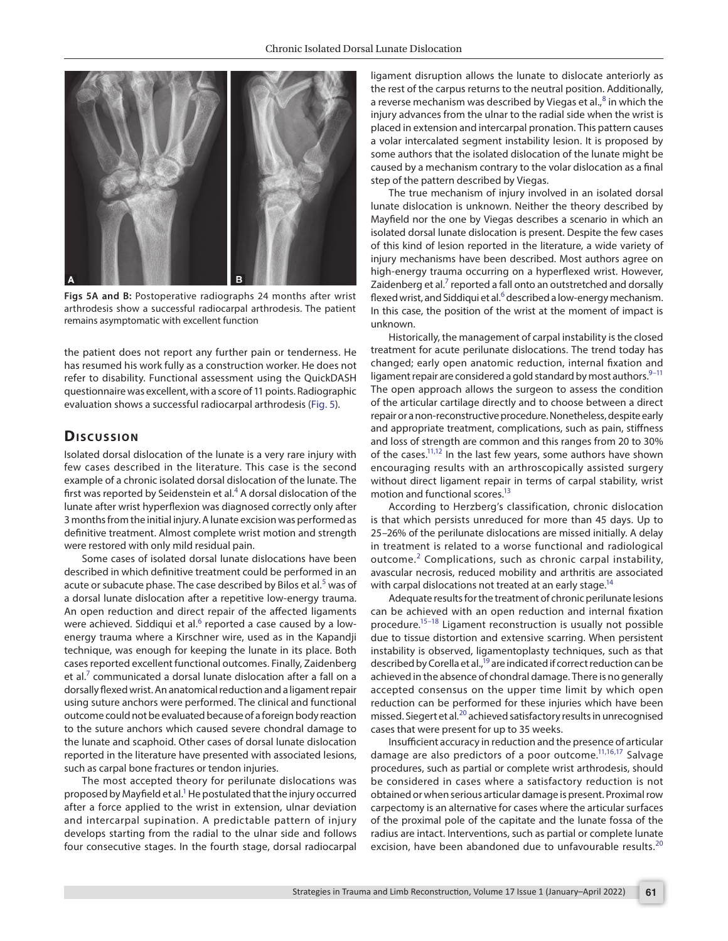

<span id="page-2-0"></span>**Figs 5A and B:** Postoperative radiographs 24 months after wrist arthrodesis show a successful radiocarpal arthrodesis. The patient remains asymptomatic with excellent function

the patient does not report any further pain or tenderness. He has resumed his work fully as a construction worker. He does not refer to disability. Functional assessment using the QuickDASH questionnaire was excellent, with a score of 11 points. Radiographic evaluation shows a successful radiocarpal arthrodesis ([Fig. 5\)](#page-2-0).

#### **Dis c u s sio n**

Isolated dorsal dislocation of the lunate is a very rare injury with few cases described in the literature. This case is the second example of a chronic isolated dorsal dislocation of the lunate. The first was reported by Seidenstein et al.<sup>[4](#page-3-3)</sup> A dorsal dislocation of the lunate after wrist hyperflexion was diagnosed correctly only after 3 months from the initial injury. A lunate excision was performed as definitive treatment. Almost complete wrist motion and strength were restored with only mild residual pain.

Some cases of isolated dorsal lunate dislocations have been described in which definitive treatment could be performed in an acute or subacute phase. The case described by Bilos et al.<sup>[5](#page-3-4)</sup> was of a dorsal lunate dislocation after a repetitive low-energy trauma. An open reduction and direct repair of the affected ligaments were achieved. Siddiqui et al.<sup>[6](#page-3-5)</sup> reported a case caused by a lowenergy trauma where a Kirschner wire, used as in the Kapandji technique, was enough for keeping the lunate in its place. Both cases reported excellent functional outcomes. Finally, Zaidenberg et al.<sup>[7](#page-3-6)</sup> communicated a dorsal lunate dislocation after a fall on a dorsally flexed wrist. An anatomical reduction and a ligament repair using suture anchors were performed. The clinical and functional outcome could not be evaluated because of a foreign body reaction to the suture anchors which caused severe chondral damage to the lunate and scaphoid. Other cases of dorsal lunate dislocation reported in the literature have presented with associated lesions, such as carpal bone fractures or tendon injuries.

The most accepted theory for perilunate dislocations was proposed by Mayfield et al.<sup>1</sup> He postulated that the injury occurred after a force applied to the wrist in extension, ulnar deviation and intercarpal supination. A predictable pattern of injury develops starting from the radial to the ulnar side and follows four consecutive stages. In the fourth stage, dorsal radiocarpal ligament disruption allows the lunate to dislocate anteriorly as the rest of the carpus returns to the neutral position. Additionally, a reverse mechanism was described by Viegas et al., $^8$  $^8$  in which the injury advances from the ulnar to the radial side when the wrist is placed in extension and intercarpal pronation. This pattern causes a volar intercalated segment instability lesion. It is proposed by some authors that the isolated dislocation of the lunate might be caused by a mechanism contrary to the volar dislocation as a final step of the pattern described by Viegas.

The true mechanism of injury involved in an isolated dorsal lunate dislocation is unknown. Neither the theory described by Mayfield nor the one by Viegas describes a scenario in which an isolated dorsal lunate dislocation is present. Despite the few cases of this kind of lesion reported in the literature, a wide variety of injury mechanisms have been described. Most authors agree on high-energy trauma occurring on a hyperflexed wrist. However, Zaidenberg et al.<sup>7</sup> reported a fall onto an outstretched and dorsally flexed wrist, and Siddiqui et al. $^6$  described a low-energy mechanism. In this case, the position of the wrist at the moment of impact is unknown.

Historically, the management of carpal instability is the closed treatment for acute perilunate dislocations. The trend today has changed; early open anatomic reduction, internal fixation and ligament repair are considered a gold standard by most authors.  $9-11$  $9-11$ The open approach allows the surgeon to assess the condition of the articular cartilage directly and to choose between a direct repair or a non-reconstructive procedure. Nonetheless, despite early and appropriate treatment, complications, such as pain, stiffness and loss of strength are common and this ranges from 20 to 30% of the cases.<sup>11[,12](#page-3-10)</sup> In the last few years, some authors have shown encouraging results with an arthroscopically assisted surgery without direct ligament repair in terms of carpal stability, wrist motion and functional scores[.13](#page-3-11)

According to Herzberg's classification, chronic dislocation is that which persists unreduced for more than 45 days. Up to 25–26% of the perilunate dislocations are missed initially. A delay in treatment is related to a worse functional and radiological outcome.<sup>[2](#page-3-1)</sup> Complications, such as chronic carpal instability, avascular necrosis, reduced mobility and arthritis are associated with carpal dislocations not treated at an early stage.<sup>14</sup>

Adequate results for the treatment of chronic perilunate lesions can be achieved with an open reduction and internal fixation procedure[.15–](#page-3-13)[18](#page-3-14) Ligament reconstruction is usually not possible due to tissue distortion and extensive scarring. When persistent instability is observed, ligamentoplasty techniques, such as that described by Corella et al.,<sup>19</sup> are indicated if correct reduction can be achieved in the absence of chondral damage. There is no generally accepted consensus on the upper time limit by which open reduction can be performed for these injuries which have been missed. Siegert et al.<sup>20</sup> achieved satisfactory results in unrecognised cases that were present for up to 35 weeks.

Insufficient accuracy in reduction and the presence of articular damage are also predictors of a poor outcome.<sup>11[,16,](#page-3-17)[17](#page-3-18)</sup> Salvage procedures, such as partial or complete wrist arthrodesis, should be considered in cases where a satisfactory reduction is not obtained or when serious articular damage is present. Proximal row carpectomy is an alternative for cases where the articular surfaces of the proximal pole of the capitate and the lunate fossa of the radius are intact. Interventions, such as partial or complete lunate excision, have been abandoned due to unfavourable results.<sup>[20](#page-3-16)</sup>